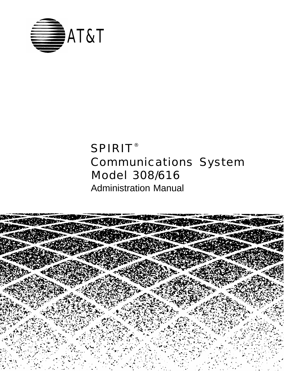

# SPIRIT® Communications System Model 308/616

Administration Manual

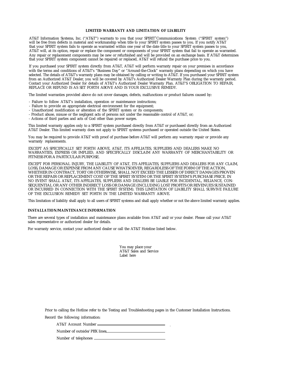#### **LIMITED WARRANTY AND LIMITATION OF LIABILITY**

AT&T Information Systems, Inc. ("AT&T") warrants to you that your SPIRIT® Communications System ("SPIRIT system") will be free from defects in material and workmanship when title to your SPIRIT system passes to you. If you notify AT&T that your SPIRIT system fails to operate as warranted within one year of the date title to your SPIRIT system passes to you, AT&T will, at its option, repair or replace the component or components of your SPIRIT system that fail to operate as warranted. Any repair or replacement components may be new or refurbished and will be provided on an exchange basis. If AT&T determines that your SPIRIT system component cannot be repaired or replaced, AT&T will refund the purchase price to you.

If you purchased your SPIRIT system directly from AT&T, AT&T will perform warranty repair on your premises in accordance with the terms and conditions of AT&T's "Business Day" or "Around-the-Clock" warranty plans depending on which you have selected. The details of AT&T's warranty plans may be obtained by calling or writing to AT&T. If you purchased your SPIRIT system from an Authorized AT&T Dealer, you will be covered by AT&T's Authorized Dealer Warranty Plan during the warranty period. Contact your Authorized Dealer for details of AT&T's Authorized Dealer Warranty Plan. AT&T'S OBLIGATION TO REPAIR, REPLACE OR REFUND IS AS SET FORTH ABOVE AND IS YOUR EXCLUSIVE REMEDY.

The limited warranties provided above do not cover damages, defects, malfunctions or product failures caused by:

- Failure to follow AT&T's installation, operation or maintenance instructions;
- Failure to provide an appropriate electrical environment for the equipment;
- Unauthorized modification or alteration of the SPIRIT system or its components;
- Product abuse, misuse or the negligent acts of persons not under the reasonable control of AT&T, or;
- Actions of third parties and acts of God other than power surges.

This limited warranty applies only to a SPIRIT system purchased directly from AT&T or purchased directly from an Authorized AT&T Dealer. This limited warranty does not apply to SPIRIT systems purchased or operated outside the United States.

You may be required to provide AT&T with proof of purchase before AT&T will perform any warranty repair or provide any warranty replacements.

EXCEPT AS SPECIFICALLY SET FORTH ABOVE, AT&T, ITS AFFILIATES, SUPPLIERS AND DEALERS MAKE NO WARRANTIES, EXPRESS OR IMPLIED, AND SPECIFICALLY DISCLAIM ANY WARRANTY OF MERCHANTABILITY OR FITNESS FOR A PARTICULAR PURPOSE.

EXCEPT FOR PERSONAL INJURY, THE LIABILITY OF AT&T, ITS AFFILIATES, SUPPLIERS AND DEALERS FOR ANY CLAIM, LOSS, DAMAGE OR EXPENSE FROM ANY CAUSE WHATSOEVER, REGARDLESS OF THE FORM OF THE ACTION, WHETHER IN CONTRACT, TORT OR OTHERWISE, SHALL NOT EXCEED THE LESSER OF DIRECT DAMAGES PROVEN OR THE REPAIR OR REPLACEMENT COST OF THE SPIRIT SYSTEM OR THE SPIRIT SYSTEM'S PURCHASE PRICE. IN NO EVENT SHALL AT&T, ITS AFFILIATES, SUPPLIERS AND DEALERS BE LIABLE FOR INCIDENTAL, RELIANCE, CON-SEQUENTIAL OR ANY OTHER INDIRECT LOSS OR DAMAGE (INCLUDING LOST PROFITS OR REVENUES SUSTAINED OR INCURRED IN CONNECTION WITH THE SPIRIT SYSTEM). THIS LIMITATION OF LIABILITY SHALL SURVIVE FAILURE OF THE EXCLUSION REMEDY SET FORTH IN THE LIMITED WARRANTY ABOVE.

This limitation of liability shall apply to all users of SPIRIT systems and shall apply whether or not the above limited warranty applies.

#### **INSTALLATION/MAINTENANCE INFORMATION**

There are several types of installation and maintenance plans available from AT&T and/or your dealer. Please call your AT&T sales representative or authorized dealer for details.

For warranty service, contact your authorized dealer or call the AT&T Hoteline listed below.

You may place your AT&T Sales and Service Label here

Prior to calling the Hotline refer to the Testing and Troubleshooting pages in the Customer Installation Instructions.

Record the following information:

AT&T Account Number . Number of outside/PBX lines

Number of telephones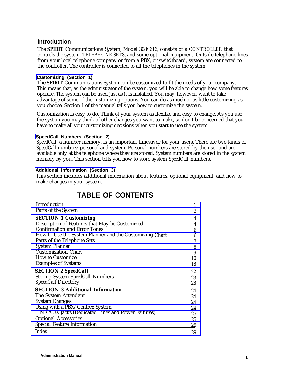# <span id="page-2-1"></span>**Introduction**

The **SPIRIT** Communications System, Model 308/616, consists of a *CONTROLLER* that controls the system, *TELEPHONE SETS,* and some optional equipment. Outside telephone lines from your local telephone company or from a PBX, or switchboard, system are connected to the controller. The controller is connected to all the telephones in the system.

#### <span id="page-2-0"></span>**[Customizing \(Section 1\)](#page-4-2)**

The **SPIRIT** Communications System can be customized to fit the needs of your company. This means that, as the administrator of the system, you will be able to change how some features operate. The system can be used just as it is installed. You may, however, want to take advantage of some of the customizing options. You can do as much or as little customizing as you choose. Section 1 of the manual tells you how to customize the system.

Customization is easy to do. Think of your system as flexible and easy to change. As you use the system you may think of other changes you want to make, so don't be concerned that you have to make all your customizing decisions when you start to use the system.

#### **[SpeedCall Numbers \(Section 2\)](#page-22-1)**

*SpeedCall,* a number memory, is an important timesaver for your users. There are two kinds of *SpeedCall* numbers: personal and system. Personal numbers are stored by the user and are available only at the telephone where they are stored. System numbers are stored in the system memory by you. This section tells you how to store system *SpeedCall* numbers.

#### **[Additional Information \(Section 3\)](#page-24-3)**

This section includes additional information about features, optional equipment, and how to make changes in your system.

| Introduction                                            |    |
|---------------------------------------------------------|----|
| Parts of the System                                     | 3  |
| <b>SECTION 1 Customizing</b>                            | 4  |
| Description of Features that May be Customized          | 4  |
| <b>Confirmation and Error Tones</b>                     | 6  |
| How to Use the System Planner and the Customizing Chart | 6  |
| Parts of the Telephone Sets                             |    |
| <b>System Planner</b>                                   | 8  |
| <b>Customization Chart</b>                              | 9  |
| <b>How to Customize</b>                                 | 10 |
| <b>Examples of Systems</b>                              | 18 |
| <b>SECTION 2 SpeedCall</b>                              | 22 |
| <b>Storing System SpeedCall Numbers</b>                 | 23 |
| <b>SpeedCall Directory</b>                              | 28 |
| <b>SECTION 3 Additional Information</b>                 | 24 |
| The System Attendant                                    | 24 |
| <b>System Changes</b>                                   | 24 |
| Using with a PBX/Centrex System                         | 24 |
| LINE AUX Jacks (Dedicated Lines and Power Failures)     | 25 |
| <b>Optional Accessories</b>                             | 25 |
| <b>Special Feature Information</b>                      | 25 |
| Index                                                   | 29 |

# **TABLE OF CONTENTS**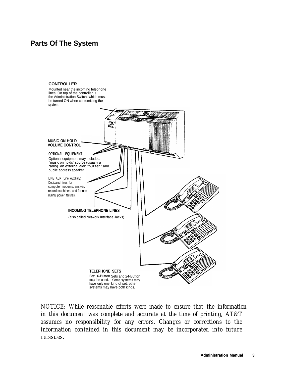# <span id="page-3-4"></span><span id="page-3-3"></span><span id="page-3-2"></span><span id="page-3-1"></span><span id="page-3-0"></span>**Parts Of The System**

# **CONTROLLER** Mounted near the incoming telephone lines. On top of the controller is the Administration Switch, which must be turned ON when customizing the system. 螽 **MUSIC ON HOLD VOLUME CONTROL OPTIONAL EQUIPMENT** Optional equipment may include a "music on holds" source (usually a radio). an external alert "buzzer." and public address speaker. LINE AUX (Line Auxiliary) Dedicated lines for computer modems. answer/ record machines. and for use during power failures. **INCOMING TELEPHONE LINES** (also called Network Interface Jacks) **TELEPHONE SETS** Both 6-Button Sets and 24-Button may be used. Some systems may have only one kind of set, other systems may have both kinds.

*NOTICE: While reasonable efforts were made to ensure that the information in this document was complete and accurate at the time of printing, AT&T assumes no responsibility for any errors. Changes or corrections to the information contained in this document may be incorporated into future reissues.*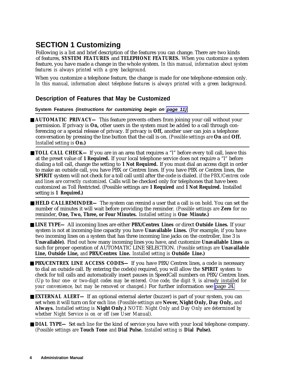# <span id="page-4-5"></span><span id="page-4-4"></span><span id="page-4-3"></span><span id="page-4-2"></span><span id="page-4-0"></span>**SECTION 1 Customizing**

Following is a list and brief description of the features you can change. There are two kinds of features, **SYSTEM FEATURES** and **TELEPHONE FEATURES.** When you customize a system feature, you have made a change in the whole system. *In this manual, information about system features is always printed with a grey background.*

<span id="page-4-1"></span>When you customize a telephone feature, the change is made for one telephone extension only. *In this manual, information about telephone features is always printed with a green background.*

# **Description of Features that May be Customized**

**System Features (instructions for customizing begin on [page 11\)](#page-11-0)**

- **AUTOMATIC PRIVACY** This feature prevents others from joining your call without your permission. If privacy is **On,** other users in the system must be added to a call through conferencing or a special release of privacy. If privacy is **Off,** another user can join a telephone conversation by pressing the line button that the call is on. *(Possible settings are* **On** *and* **Off.** *Installed setting is* **On.)**
- **TOLL CALL CHECK** If you are in an area that requires a "l" before every toll call, leave this at the preset value of **1 Required.** If your local telephone service does not require a "l" before dialing a toll call, change the setting to **1 Not Required.** If you must dial an access digit in order to make an outside call, you have PBX or Centrex lines. If you have PBX or Centrex lines, the **SPIRIT** system will not check for a toll call until after the code is dialed. *if the PBX/Centrex code and lines are correctly customized.* Calls will be checked only for telephones that have been customized as Toll Restricted. (Possible settings are **1 Required** and **1 Not Required.** Installed setting is **1 Required.)**
- **HELD CALLREMINDER—** The system can remind a user that a call is on hold. You can set the number of minutes it will wait before providing the reminder. *(Possible settings are* **Zero** for no reminder, **One, Two, Three, or Four Minutes.** *Installed setting is* **One Minute.)**

■ **LINE TYPE**— All incoming lines are either **PBX/Centrex Lines** or direct **Outside Lines.** If your system is not at incoming-line capacity you have **Unavailable Lines.** (For example, if you have two incoming lines on a system that has three incoming line jacks on the controller, line 3 is **Unavailable).** Find out how many incoming lines you have, and customize **Unavailable Lines** as such for proper operation of AUTOMATIC LINE SELECTION. *(Possible settings are* **Unavailable Line, Outside Line,** *and* **PBX/Centrex Line.** *Installed setting is* **Outside Line.)**

- **PBX/CENTREX LINE ACCESS CODES** If you have PBX/Centrex lines, a code is necessary to dial an outside call. By entering the code(s) required, you will allow the **SPIRIT** system to check for toll calls and automatically insert pauses in SpeedCall numbers on PBX/Centrex lines. *(Up to four one- or two-digit codes may be entered. One code, the digit 9, is already installed for your convenience, but may be removed or changed.)* For further information see [page 24.](#page-24-4)
- **EXTERNAL ALERT** If an optional external alerter (buzzer) is part of your system, you can set when it will turn on for *each line. (Possible settings are* **Never, Night Only, Day Only,** *and* **Always.** *Installed setting is* **Night Only.)** *NOTE: Night Only and Day Only are determined by whether Night Service is on or off (see User Manual).*
- **DIAL TYPE** Set *each line* for the kind of service you have with your local telephone company. *(Possible settings are* **Touch Tone** *and* **Dial Pulse.** *Installed setting is* **Dial Pulse).**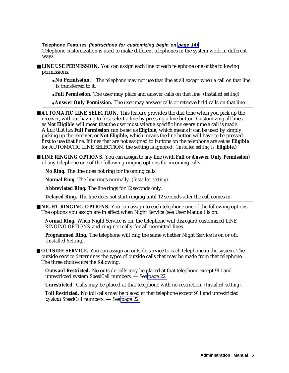<span id="page-5-1"></span><span id="page-5-0"></span>**Telephone Features (instructions for customizing begin on [page 14\)](#page-14-0)**

Telephone customization is used to make different telephones in the system work in different ways.

- <span id="page-5-2"></span>■ **LINE USE PERMISSION.** You can assign each line of each telephone one of the following permissions.
	- **No Permission.** The telephone may not use that line at all except when a call on that line is transferred to it.
	- **Full Permission.** The user may place and answer calls on that line. *(Installed setting).*
	- **Answer Only Permission.** The user may answer calls or retrieve held calls on that line.

■ **AUTOMATIC LINE SELECTION.** This feature provides the dial tone when you pick up the receiver, without having to first select a line by pressing a line button. Customizing all lines as **Not Eligible** will mean that the user must select a specific line every time a call is made. A line that has **Full Permission** can be set as **Eligible,** which means it can be used by simply picking up the receiver, or **Not Eligible,** which means the line button will have to be pressed first to use that line. If lines that are not assigned to buttons on the telephone are set as **Eligible** for AUTOMATIC LINE SELECTION, the setting is ignored. *(Installed setting is* **Eligible.)**

■ **LINE RINGING OPTIONS.** You can assign to any line (with **Full** or **Answer Only Permission)** of any telephone one of the following ringing options for incoming calls.

**No Ring.** The line does not ring for incoming calls.

**Normal Ring.** The line rings normally. *(Installed setting).*

**Abbreviated Ring.** The line rings for 12 seconds only.

**Delayed Ring.** The line does not start ringing until 12 seconds after the call comes in.

■ **NIGHT RINGING OPTIONS.** You can assign to each telephone one of the following options. The options you assign are in effect when Night Service (see User Manual) is on.

**Normal Ring.** When Night Service is on, the telephone will disregard customized *LINE RINGING OPTIONS* and ring normally for all permitted lines.

**Programmed Ring.** The telephone will ring the same whether Night Service is on or off. *(Installed Setting).*

■ **OUTSIDE SERVICE.** You can assign an outside service to each telephone in the system. The outside service determines the types of outside calls that may be made from that telephone. The three choices are the following:

**Outward Restricted.** No outside calls may be placed at that telephone except 911 and unrestricted system *SpeedCall* numbers. — See [page 22.](#page-22-2)

**Unrestricted.** Calls may be placed at that telephone with no restriction. *(Installed setting).*

**Toll Restricted.** No toll calls may be placed at that telephone except 911 and unrestricted System *SpeedCall* numbers. — See [page 22.](#page-22-2)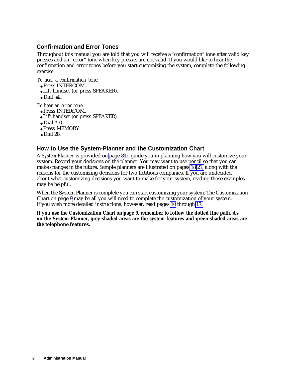# <span id="page-6-4"></span><span id="page-6-3"></span><span id="page-6-2"></span><span id="page-6-0"></span>**Confirmation and Error Tones**

Throughout this manual you are told that you will receive a "confirmation" tone after valid key presses and an "error" tone when key presses are not valid. If you would like to hear the confirmation and error tones before you start customizing the system, complete the following exercise:

<span id="page-6-1"></span>*To hear a confirmation tone:*

- Press INTERCOM.
- Lift handset (or press SPEAKER).
- $\bullet$  Dial #2.

*To hear an error tone:*

- Press INTERCOM.
- Lift handset (or press SPEAKER).
- $\bullet$  Dial  $*$  0.
- Press MEMORY.
- $\bullet$  Dial 28.

# **How to Use the System-Planner and the Customization Chart**

A *System Planner* is provided on [page 8](#page-8-1) to guide you in planning how you will customize your system. Record your decisions on the planner. You may want to use pencil so that you can make changes in the future. Sample planners are illustrated on pages [18-](#page-18-0)[21,](#page-21-0) along with the reasons for the customizing decisions for two fictitious companies. If you are undecided about what customizing decisions you want to make for your system, reading those examples may be helpful.

When the System Planner is complete you can start customizing your system. The Customization Chart on [page 9](#page-9-1) may be all you will need to complete the customization of your system. If you wish more detailed instructions, however, read pages [10](#page-10-1) through [17.](#page-17-0)

**If you use the Customization Chart on [page 9,](#page-9-1) remember to follow the dotted line path. As on the System Planner, grey-shaded areas are the system features and green-shaded areas are the telephone features.**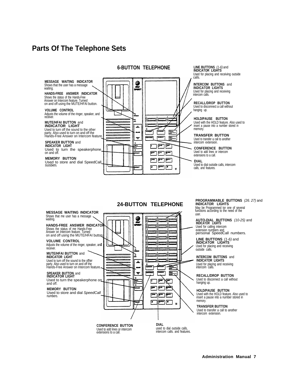# <span id="page-7-1"></span><span id="page-7-0"></span>**Parts Of The Telephone Sets**

<span id="page-7-2"></span>

**LINE BUTTONS** (1-6) and **INDICATOR LIGHTS** Used for placing and receiving outside

**INTERCOM BUTTONS** and **INDICATOR LIGHTS** Used for placing and receiving intercom calls.

**RECALL/DROP BUTTON** Used to disconnect a call without hanging up.

**HOLD/PAUSE BUTTON** Used with the HOLD feature. Also used to insert a pause into a number stored in memory.

**TRANSFER BUTTON** Used to transfer a call to another intercom extension.

**CONFERENCE BUTTON** Used to add lines or intercom extensions to a call.

**DIAL** Used to dial outside calls, intercom calls, and features.

## **24-BUTTON TELEPHONE**



**PROGRAMMABLE BUTTONS** (26. 27) and **INDICATOR LIGHTS**

May be Programmed tor one of several functions according to the need of the user.

**AUTO-DIAL BUTTONS** (10-25) and **INDICATOR LIGHTS** Used for calling intercom extension numbers and personal SpeedCall numbers.

**LINE BUTTONS** (1-6) and **INDICATOR LIGHTS** Used for placing and receiving outside calls.

**INTERCOM BUTTONS** and **INDICATOR LIGHTS** Used for placing and receiving intercom calls.

**RECALL/DROP BUTTON** Used to disconnect a call without hanging up.

**HOLD/PAUSE BUTTON** Used with the HOLD feature. Also used to insert a pause into a number stored in memory.

**TRANSFER BUTTON** Used to transfer a call to another intercom extension.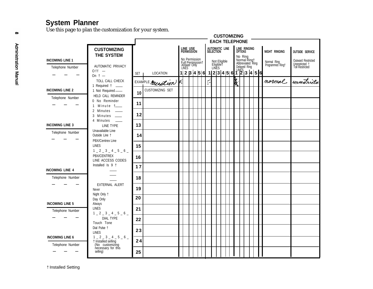# **System Planner**

Use this page to plan the customization for your system.

<span id="page-8-2"></span><span id="page-8-1"></span><span id="page-8-0"></span>

|                                            |                                                                   | <b>CUSTOMIZING</b> |                       |  |                                                                     |  |  |                     |  |                                    |  |  |    |                |                                             |  |                                 |                                                         |
|--------------------------------------------|-------------------------------------------------------------------|--------------------|-----------------------|--|---------------------------------------------------------------------|--|--|---------------------|--|------------------------------------|--|--|----|----------------|---------------------------------------------|--|---------------------------------|---------------------------------------------------------|
|                                            |                                                                   |                    | <b>EACH TELEPHONE</b> |  |                                                                     |  |  |                     |  |                                    |  |  |    |                |                                             |  |                                 |                                                         |
|                                            | <b>CUSTOMIZING</b><br>THE SYSTEM                                  |                    |                       |  | LINE USE<br>PERMISSION                                              |  |  |                     |  | AUTOMATIC LINE<br>SELECTION        |  |  |    | <b>OPTIONS</b> | LINE RINGING                                |  | NIGHT RINGING                   | <b>OUTSIDE SERVICE</b>                                  |
| <b>INCOMING LINE 1</b>                     | AUTOMATIC PRIVACY                                                 |                    |                       |  | No Permission<br>Full Permission<br>Full Permission†<br>Answer Only |  |  |                     |  | Not Eligible<br>Eligible†<br>LINES |  |  |    |                | No Ring<br>Normal Ring†<br>Abbreviated Ring |  | Normal Ring<br>Programmed Ring† | Outward Restricted<br>Unrestricted †<br>Toll Restricted |
| Telephone Number                           | $0$ f f $-$<br>On $\dagger$ -                                     | <b>SET</b>         | LOCATION              |  |                                                                     |  |  |                     |  |                                    |  |  |    |                |                                             |  |                                 |                                                         |
|                                            | TOLL CALL CHECK<br>1 Required 1 __                                |                    | EXAMPLE Meception     |  |                                                                     |  |  | $\widetilde{\cdot}$ |  |                                    |  |  | ķ, |                |                                             |  | normal                          | unestricta                                              |
| <b>INCOMING LINE 2</b>                     | 1 Not Required -<br>HELD CALL REMINDER                            | 10                 | CUSTOMIZING SET       |  |                                                                     |  |  |                     |  |                                    |  |  |    |                |                                             |  |                                 |                                                         |
| Telephone Number                           | 0 No Reminder<br>Minute t___                                      | 11                 |                       |  |                                                                     |  |  |                     |  |                                    |  |  |    |                |                                             |  |                                 |                                                         |
|                                            | $\overline{2}$<br>Minutes —<br>3<br>Minutes ___                   | 12                 |                       |  |                                                                     |  |  |                     |  |                                    |  |  |    |                |                                             |  |                                 |                                                         |
| <b>INCOMING LINE 3</b>                     | 4 Minutes<br>$\sim$<br>LINE TYPE                                  | 13                 |                       |  |                                                                     |  |  |                     |  |                                    |  |  |    |                |                                             |  |                                 |                                                         |
| Telephone Number                           | Unavailable Line<br>Outside Line t                                | 14                 |                       |  |                                                                     |  |  |                     |  |                                    |  |  |    |                |                                             |  |                                 |                                                         |
|                                            | PBX/Centrex Line<br><b>LINES</b><br>$1 - 2 - 3 - 4 - 5 - 6$       | 15                 |                       |  |                                                                     |  |  |                     |  |                                    |  |  |    |                |                                             |  |                                 |                                                         |
|                                            | PBX/CENTREX<br>LINE ACCESS CODES                                  | 16                 |                       |  |                                                                     |  |  |                     |  |                                    |  |  |    |                |                                             |  |                                 |                                                         |
| <b>INCOMING LINE 4</b>                     | Installed Is 9 t                                                  | 17                 |                       |  |                                                                     |  |  |                     |  |                                    |  |  |    |                |                                             |  |                                 |                                                         |
| Telephone Number                           |                                                                   | 18                 |                       |  |                                                                     |  |  |                     |  |                                    |  |  |    |                |                                             |  |                                 |                                                         |
|                                            | EXTERNAL ALERT<br>Never                                           | 19                 |                       |  |                                                                     |  |  |                     |  |                                    |  |  |    |                |                                             |  |                                 |                                                         |
| <b>INCOMING LINE 5</b>                     | Night Only †<br>Day Only<br>Always                                | 20                 |                       |  |                                                                     |  |  |                     |  |                                    |  |  |    |                |                                             |  |                                 |                                                         |
| Telephone Number                           | <b>LINES</b><br>$1 - 2 - 3 - 4 - 5 - 6$                           | 21                 |                       |  |                                                                     |  |  |                     |  |                                    |  |  |    |                |                                             |  |                                 |                                                         |
|                                            | <b>DIAL TYPE</b><br>Touch Tone                                    | 22                 |                       |  |                                                                     |  |  |                     |  |                                    |  |  |    |                |                                             |  |                                 |                                                         |
|                                            | Dial Pulse 1<br><b>LINES</b>                                      | 23                 |                       |  |                                                                     |  |  |                     |  |                                    |  |  |    |                |                                             |  |                                 |                                                         |
| <b>INCOMING LINE 6</b><br>Telephone Number | $1 = 2 = 3 = 4 = 5 = 6$<br>† Installed selling<br>(No customizing | 24                 |                       |  |                                                                     |  |  |                     |  |                                    |  |  |    |                |                                             |  |                                 |                                                         |
|                                            | necessary for this<br>selling)                                    | 25                 |                       |  |                                                                     |  |  |                     |  |                                    |  |  |    |                |                                             |  |                                 |                                                         |

† Installed Setting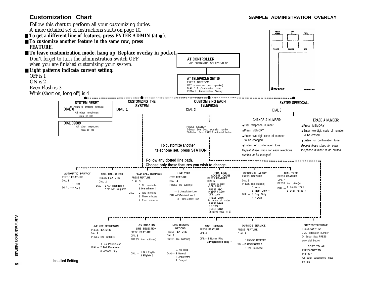<span id="page-9-6"></span><span id="page-9-5"></span><span id="page-9-4"></span><span id="page-9-3"></span><span id="page-9-2"></span><span id="page-9-1"></span><span id="page-9-0"></span>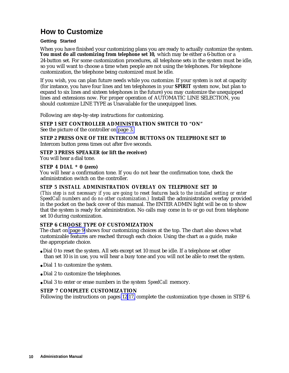# <span id="page-10-4"></span><span id="page-10-2"></span><span id="page-10-1"></span><span id="page-10-0"></span>**How to Customize**

### **Getting Started**

When you have finished your customizing plans you are ready to actually customize the system. **You must do all customizing from telephone set 10,** which may be either a 6-button or a 24-button set. For some customization procedures, all telephone sets in the system must be idle, so you will want to choose a time when people are not using the telephones. For telephone customization, the telephone being customized must be idle.

If you wish, you can plan future needs while you customize. If your system is not at capacity (for instance, you have four lines and ten telephones in your **SPIRIT** system now, but plan to expand to six lines and sixteen telephones in the future) you may customize the unequipped lines and extensions now. For proper operation of AUTOMATIC LINE SELECTION, you should customize LINE TYPE as Unavailable for the unequipped lines.

Following are step-by-step instructions for customizing.

# **STEP 1 SET CONTROLLER ADMINISTRATION SWITCH TO "ON"**

See the picture of the controller on [page 3.](#page-3-1)

**STEP 2 PRESS ONE OF THE INTERCOM BUTTONS ON TELEPHONE SET 10** Intercom button press times out after five seconds.

# **STEP 3 PRESS SPEAKER (or lift the receiver)**

<span id="page-10-3"></span>You will hear a dial tone.

# **STEP 4 DIAL \* 0 (zero)**

You will hear a confirmation tone. If you do not hear the confirmation tone, check the administration switch on the controller.

# **STEP 5 INSTALL ADMINISTRATION OVERLAY ON TELEPHONE SET 10**

*(This step is not necessary if you are going to reset features back to the installed setting or enter SpeedCall numbers and do no other customization.)* Install the administration overlay provided in the pocket on the back cover of this manual. The ENTER ADMIN light will be on to show that the system is ready for administration. No calls may come in to or go out from telephone set 10 during customization.

# **STEP 6 CHOOSE TYPE OF CUSTOMIZATION**

The chart on [page 9](#page-9-2) shows four customizing choices at the top. The chart also shows what customizable features are reached through each choice. Using the chart as a guide, make the appropriate choice.

- Dial 0 to reset the system. All sets except set 10 must be idle. If a telephone set other than set 10 is in use, you will hear a busy tone and you will not be able to reset the system.
- Dial 1 to customize the system.
- Dial 2 to customize the telephones.
- Dial 3 to enter or erase numbers in the system *SpeedCall* memory.

# **STEP 7 COMPLETE CUSTOMIZATION**

Following the instructions on pages [12-](#page-12-0)[17,](#page-17-1) complete the customization type chosen in STEP 6.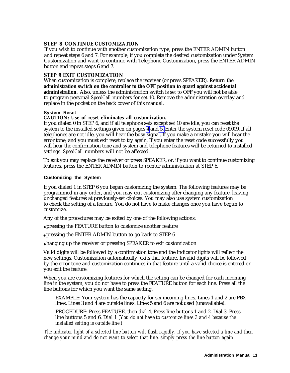### <span id="page-11-1"></span><span id="page-11-0"></span>**STEP 8 CONTINUE CUSTOMIZATION**

If you wish to continue with another customization type, press the ENTER ADMIN button and repeat steps 6 and 7. For example, if you complete the desired customization under System Customization and want to continue with Telephone Customization, press the ENTER ADMIN button and repeat steps 6 and 7.

### **STEP 9 EXIT CUSTOMIZATION**

When customization is complete, replace the receiver (or press SPEAKER). **Return the administration switch on the controller to the OFF position to guard against accidental administration.** Also, unless the administration switch is set to OFF you will not be able to program personal *SpeedCall* numbers for set 10. Remove the administration overlay and replace in the pocket on the back cover of this manual.

#### **System Reset**

#### **CAUTION: Use of reset eliminates all customization.**

If you dialed 0 in STEP 6, and if all telephone sets except set 10 are idle, you can reset the system to the installed settings given on pages [4](#page-4-3) and [5.](#page-5-0) Enter the system reset code 09009. If all telephones are not idle, you will hear the busy signal. If you make a mistake you will hear the error tone, and you must exit reset to try again. If you enter the reset code successfully you will hear the confirmation tone and system and telephone features will be returned to installed settings. *SpeedCall* numbers will not be affected.

To exit you may replace the receiver or press SPEAKER, or, if you want to continue customizing features, press the ENTER ADMIN button to reenter administration at STEP 6.

#### **Customizing the System**

If you dialed 1 in STEP 6 you began customizing the system. The following features may be programmed in any order, and you may exit customizing after changing any feature, leaving unchanged features at previously-set choices. You may also use system customization to check the setting of a feature. You do not have to make changes once you have begun to customize.

Any of the procedures may be exited by one of the following actions:

- pressing the FEATURE button to customize another feature
- pressing the ENTER ADMIN button to go back to STEP 6
- hanging up the receiver or pressing SPEAKER to exit customization

Valid digits will be followed by a confirmation tone and the indicator lights will reflect the new settings. Customization automatically exits that feature. Invalid digits will be followed by the error tone and customization continues in that feature until a valid choice is entered or you exit the feature.

When you are customizing features for which the setting can be changed for each incoming line in the system, you do not have to press the FEATURE button for each line. Press all the line buttons for which you want the same setting.

EXAMPLE: Your system has the capacity for six incoming lines. Lines 1 and 2 are PBX lines. Lines 3 and 4 are outside lines. Lines 5 and 6 are not used (unavailable).

PROCEDURE: Press FEATURE, then dial 4. Press line buttons 1 and 2. Dial 3. Press line buttons 5 and 6. Dial 1 *(You do not have to customize lines 3 and 4 because the installed setting is outside line.)*

*The indicator light of a selected line button will flash rapidly. If you have selected a line and then change your mind and do not want to select that line, simply press the line button again.*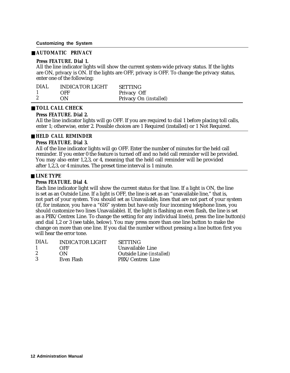#### <span id="page-12-1"></span><span id="page-12-0"></span>■ **AUTOMATIC PRIVACY**

#### **Press FEATURE. Dial 1.**

All the line indicator lights will show the current system-wide privacy status. If the lights are ON, privacy is ON. If the lights are OFF, privacy is OFF. To change the privacy status, enter one of the following:

| DIAL | <b>INDICATOR LIGHT</b> | <b>SETTING</b>         |
|------|------------------------|------------------------|
|      | OFF                    | Privacy Off            |
|      | ON                     | Privacy On (installed) |

#### ■ **TOLL CALL CHECK**

#### **Press FEATURE. Dial 2.**

All the line indicator lights will go OFF. If you are required to dial 1 before placing toll calls, enter 1; otherwise, enter 2. Possible choices are 1 Required (installed) or 1 Not Required.

#### ■ **HELD CALL REMINDER**

#### **Press FEATURE. Dial 3.**

All of the line indicator lights will go OFF. Enter the number of minutes for the held call reminder. If you enter 0 the feature is turned off and no held call reminder will be provided. You may also enter 1,2,3, or 4, meaning that the held call reminder will be provided after 1,2,3, or 4 minutes. The preset time interval is 1 minute.

#### ■ **LINE TYPE**

#### **Press FEATURE. Dial 4.**

Each line indicator light will show the current status for that line. If a light is ON, the line is set as an Outside Line. If a light is OFF, the line is set as an "unavailable line," that is, not part of your system. You should set as Unavailable, lines that are not part of your system (if, for instance, you have a "616" system but have only four incoming telephone lines, you should customize two lines Unavailable). If, the light is flashing an even flash, the line is set as a PBX/Centrex Line. To change the setting for any individual line(s), press the line button(s) and dial 1,2 or 3 (see table, below). You may press more than one line button to make the change on more than one line. If you dial the number without pressing a line button first you will hear the error tone.

| DIAL. | <b>INDICATOR LIGHT</b> | <b>SETTING</b>           |
|-------|------------------------|--------------------------|
| -1    | OFF                    | Unavailable Line         |
| -2    | ON.                    | Outside Line (installed) |
| 3     | Even Flash             | PBX/Centrex Line         |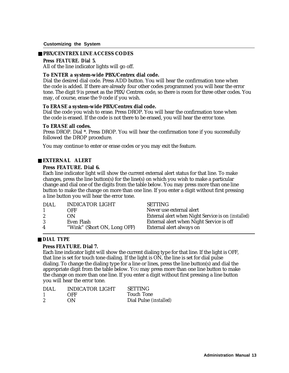#### <span id="page-13-1"></span><span id="page-13-0"></span>■ **PBX/CENTREX LINE ACCESS CODES**

#### **Press FEATURE. Dial 5.**

All of the line indicator lights will go off.

#### **To ENTER a system-wide PBX/Centrex dial code.**

Dial the desired dial code. Press ADD button. You will hear the confirmation tone when the code is added. If there are already four other codes programmed you will hear the error tone. The digit 9 is preset as the PBX/Centrex code, so there is room for three other codes. You may, of course, erase the 9 code if you wish.

#### **To ERASE a system-wide PBX/Centrex dial code.**

Dial the code you wish to erase. Press DROP. You will hear the confirmation tone when the code is erased. If the code is not there to be erased, you will hear the error tone.

#### **To ERASE all codes.**

Press DROP. Dial \*. Press DROP. You will hear the confirmation tone if you successfully followed the DROP procedure.

You may continue to enter or erase codes or you may exit the feature.

# ■ **EXTERNAL ALERT**

#### **Press FEATURE. Dial 6.**

Each line indicator light will show the current external alert status for that line. To make changes, press the line button(s) for the line(s) on which you wish to make a particular change and dial one of the digits from the table below. You may press more than one line button to make the change on more than one line. If you enter a digit without first pressing a line button you will hear the error tone.

| DIAL                 | INDICATOR LIGHT             | <b>SETTING</b>                                             |
|----------------------|-----------------------------|------------------------------------------------------------|
|                      | OFF                         | Never use external alert                                   |
| $\mathbf{2}^{\circ}$ | ON                          | External alert when Night Service is on <i>(installed)</i> |
| 3                    | Even Flash                  | External alert when Night Service is off                   |
| 4                    | "Wink" (Short ON, Long OFF) | External alert always on                                   |

#### ■ **DIAL TYPE**

#### **Press FEATURE. Dial 7.**

Each line indicator light will show the current dialing type for that line. If the light is OFF, that line is set for touch tone dialing. If the light is ON, the line is set for dial pulse dialing. To change the dialing type for a line or lines, press the line button(s) and dial the appropriate digit from the table below. YOU may press more than one line button to make the change on more than one line. If you enter a digit without first pressing a line button you will hear the error tone.

| DIAL.            | INDICATOR LIGHT | <b>SETTING</b>                |
|------------------|-----------------|-------------------------------|
|                  | OFF             | <b>Touch Tone</b>             |
| $\boldsymbol{2}$ | ON              | Dial Pulse <i>(installed)</i> |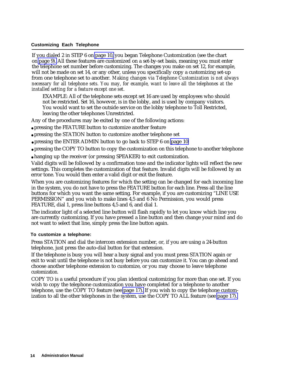<span id="page-14-1"></span><span id="page-14-0"></span>If you dialed 2 in STEP 6 on [page 10,](#page-10-3) you began Telephone Customization (see the chart on [page 9\).](#page-9-3) All these features are customized on a set-by-set basis, meaning you must enter the telephone set number before customizing. The changes you make on set 12, for example, will not be made on set 14, or any other, unless you specifically copy a customizing set-up from one telephone set to another. *Making changes via Telephone Customization is not always necessary for all telephone sets. You may, for example, want to leave all the telephones at the installed setting for a feature except one set.*

EXAMPLE: All of the telephone sets except set 16 are used by employees who should not be restricted. Set 16, however, is in the lobby, and is used by company visitors. You would want to set the outside service on the lobby telephone to Toll Restricted, leaving the other telephones Unrestricted.

Any of the procedures may be exited by one of the following actions:

- pressing the FEATURE button to customize another feature
- pressing the STATION button to customize another telephone set
- pressing the ENTER ADMIN button to go back to STEP 6 on [page 10](#page-10-3)
- pressing the COPY TO button to copy the customization on this telephone to another telephone
- hanging up the receiver (or pressing SPEAKER) to exit customization.

Valid digits will be followed by a confirmation tone and the indicator lights will reflect the new settings. This completes the customization of that feature. Invalid digits will be followed by an error tone. You would then enter a valid digit or exit the feature.

When you are customizing features for which the setting can be changed for each incoming line in the system, you do not have to press the FEATURE button for each line. Press all the line buttons for which you want the same setting. For example, if you are customizing "LINE USE PERMISSION" and you wish to make lines 4,5 and 6 No Permission, you would press FEATURE, dial 1, press line buttons 4,5 and 6, and dial 1.

The indicator light of a selected line button will flash rapidly to let you know which line you are currently customizing. If you have pressed a line button and then change your mind and do not want to select that line, simply press the line button again.

#### **To customize a telephone:**

Press STATION and dial the intercom extension number, or, if you are using a 24-button telephone, just press the auto-dial button for that extension.

If the telephone is busy you will hear a busy signal and you must press STATION again or exit to wait until the telephone is not busy before you can customize it. You can go ahead and choose another telephone extension to customize, or you may choose to leave telephone customization.

COPY TO is a useful procedure if you plan identical customizing for more than one set. If you wish to copy the telephone customization you have completed for a telephone to another telephone, use the COPY TO feature (see [page 17\).](#page-17-0) If you wish to copy the telephone customization to all the other telephones in the system, use the COPY TO ALL feature (see [page 17\).](#page-17-0)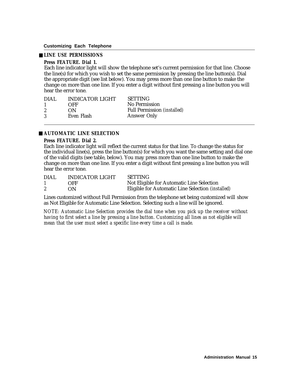### <span id="page-15-1"></span><span id="page-15-0"></span>■ **LINE USE PERMISSIONS**

#### **Press FEATURE. Dial 1.**

Each line indicator light will show the telephone set's current permission for that line. Choose the line(s) for which you wish to set the same permission by pressing the line button(s). Dial the appropriate digit (see list below). You may press more than one line button to make the change on more than one line. If you enter a digit without first pressing a line button you will hear the error tone.

| <b>INDICATOR LIGHT</b> | <b>SETTING</b>                     |
|------------------------|------------------------------------|
| OFF                    | No Permission                      |
| ON                     | <b>Full Permission (installed)</b> |
| Even Flash             | Answer Only                        |
|                        |                                    |

# ■ **AUTOMATIC LINE SELECTION**

#### **Press FEATURE. Dial 2.**

Each line indicator light will reflect the current status for that line. To change the status for the individual line(s), press the line button(s) for which you want the same setting and dial one of the valid digits (see table, below). You may press more than one line button to make the change on more than one line. If you enter a digit without first pressing a line button you will hear the error tone.

| <b>DIAL</b> | <b>INDICATOR LIGHT</b> | SETTING                                                  |
|-------------|------------------------|----------------------------------------------------------|
|             | OFF                    | Not Eligible for Automatic Line Selection                |
|             | OΝ                     | Eligible for Automatic Line Selection <i>(installed)</i> |

Lines customized without Full Permission from the telephone set being customized will show as Not Eligible for Automatic Line Selection. Selecting such a line will be ignored.

*NOTE: Automatic Line Selection provides the dial tone when you pick up the receiver without having to first select a line by pressing a line button. Customizing all lines as not eligible will mean that the user must select a specific line every time a call is made.*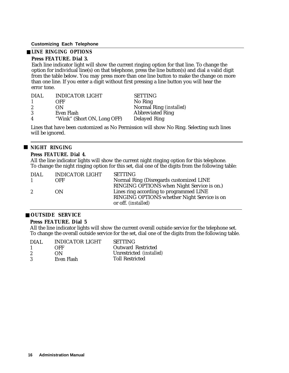### <span id="page-16-2"></span><span id="page-16-1"></span><span id="page-16-0"></span>■ **LINE RINGING OPTIONS**

### **Press FEATURE. Dial 3.**

Each line indicator light will show the current ringing option for that line. To change the option for individual line(s) on that telephone, press the line button(s) and dial a valid digit from the table below. You may press more than one line button to make the change on more than one line. If you enter a digit without first pressing a line button you will hear the error tone.

| DIAL. | <b>INDICATOR LIGHT</b>      | <b>SETTING</b>          |
|-------|-----------------------------|-------------------------|
|       | OFF                         | No Ring                 |
| 2     | OΝ                          | Normal Ring (installed) |
|       | Even Flash                  | <b>Abbreviated Ring</b> |
| 4     | "Wink" (Short ON, Long OFF) | Delayed Ring            |

Lines that have been customized as No Permission will show No Ring. Selecting such lines will be ignored.

### ■ **NIGHT RINGING**

### **Press FEATURE. Dial 4.**

All the line indicator lights will show the current night ringing option for this telephone. To change the night ringing option for this set, dial one of the digits from the following table:

| DIAL.          | INDICATOR LIGHT | <b>SETTING</b>                              |
|----------------|-----------------|---------------------------------------------|
| $\overline{1}$ | OFF             | Normal Ring (Disregards customized LINE     |
|                |                 | RINGING OPTIONS when Night Service is on.)  |
| $2^{\circ}$    | ON              | Lines ring according to programmed LINE     |
|                |                 | RINGING OPTIONS whether Night Service is on |
|                |                 | or off. <i>(installed)</i>                  |

#### ■ **OUTSIDE SERVICE**

#### **Press FEATURE. Dial 5**

All the line indicator lights will show the current overall outside service for the telephone set. To change the overall outside service for the set, dial one of the digits from the following table.

| DIAL. | INDICATOR LIGHT | <b>SETTING</b>            |
|-------|-----------------|---------------------------|
|       | OFF             | <b>Outward Restricted</b> |
| -2    | ON              | Unrestricted (installed)  |
| -3    | Even Flash      | <b>Toll Restricted</b>    |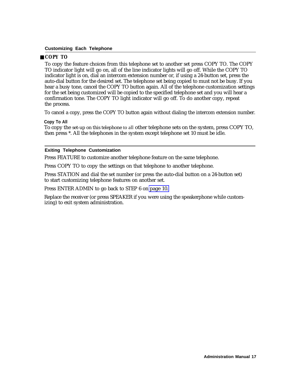### <span id="page-17-3"></span><span id="page-17-2"></span><span id="page-17-1"></span><span id="page-17-0"></span>■ **COPY TO**

To copy the feature choices from this telephone set to another set press COPY TO. The COPY TO indicator light will go on, all of the line indicator lights will go off. While the COPY TO indicator light is on, dial an intercom extension number or, if using a 24-button set, press the auto-dial button for the desired set. The telephone set being copied to must not be busy. If you hear a busy tone, cancel the COPY TO button again. All of the telephone customization settings for the set being customized will be copied to the specified telephone set and you will hear a confirmation tone. The COPY TO light indicator will go off. To do another copy, repeat the process.

To cancel a copy, press the COPY TO button again without dialing the intercom extension number.

#### **Copy To All**

To copy the set-up on this telephone to all other telephone sets on the system, press COPY TO, then press \*. All the telephones in the system except telephone set 10 must be idle.

#### **Exiting Telephone Customization**

Press FEATURE to customize another telephone feature on the same telephone.

Press COPY TO to copy the settings on that telephone to another telephone.

Press STATION and dial the set number (or press the auto-dial button on a 24-button set) to start customizing telephone features on another set.

Press ENTER ADMIN to go back to STEP 6 on [page 10.](#page-10-3)

Replace the receiver (or press SPEAKER if you were using the speakerphone while customizing) to exit system administration.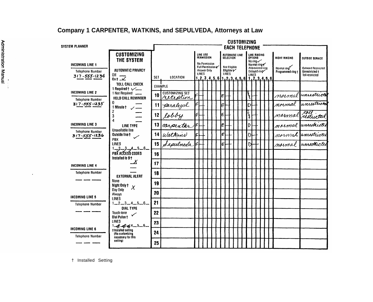# **Company 1 CARPENTER, WATKINS, and SEPULVEDA, Attorneys at Law**

<span id="page-18-1"></span><span id="page-18-0"></span>

|                                                   |                                                                  |                       |                                     |   |                                                            |  |  |   |                                            | <b>CUSTOMIZING</b>    |               |                |                                                 |  |                                  |                                             |
|---------------------------------------------------|------------------------------------------------------------------|-----------------------|-------------------------------------|---|------------------------------------------------------------|--|--|---|--------------------------------------------|-----------------------|---------------|----------------|-------------------------------------------------|--|----------------------------------|---------------------------------------------|
| <b>SYSTEM PLANNER</b>                             |                                                                  | <b>EACH TELEPHONE</b> |                                     |   |                                                            |  |  |   |                                            |                       |               |                |                                                 |  |                                  |                                             |
|                                                   | <b>CUSTOMIZING</b><br><b>THE SYSTEM</b>                          |                       |                                     |   | LINE USE<br><b>PERMISSION</b>                              |  |  |   | <b>SELECTION</b>                           | <b>AUTOMATIC LINE</b> |               | <b>OPTIONS</b> | LINE RINGING<br>No ring $\checkmark$            |  | NIGHT RINGING                    | <b>OUTSIDE SERVICE</b>                      |
| <b>INCOMING LINE 1</b><br><b>Telephone Number</b> | <b>AUTOMATIC PRIVACY</b>                                         |                       |                                     |   | No Permission<br>Full Permission o<br>Answer Only<br>LINES |  |  |   | <b>Not Eligible</b><br>Eligible t<br>LINES |                       |               |                | Normal ring<br>Abbrevialed ring<br>Delayed ring |  | Normal ring<br>Programmed ring + | <b>Outward Restricted</b><br>Unrestricted + |
| $317 - 555 - 1234$                                | OIL<br>$0n + \Delta$                                             | SET                   | <b>LOCATION</b>                     |   | $1, 2, 3, 4, 5, 6$ $1, 2, 3, 4, 5, 6$ $1, 2, 3, 4, 5, 6$   |  |  |   |                                            |                       |               | LINES          |                                                 |  |                                  | Toll restricted                             |
|                                                   | <b>TOLL CALL CHECK</b><br>1 Required $\longleftarrow$            |                       | <b>EXAMPLE</b>                      |   |                                                            |  |  |   |                                            |                       |               |                |                                                 |  |                                  |                                             |
| <b>INCOMING LINE 2</b>                            | 1 Not Required ___<br>HELD CALL REMINDER                         | 10                    | <b>CUSTOMIZING SET</b><br>reception |   |                                                            |  |  | E |                                            |                       | رو<br>م       |                |                                                 |  |                                  | normal unrestricti                          |
| <b>Telephone Number</b><br>$317 - 555 - 1235$     | 0.<br>1 Minute t /                                               | 11                    | paralegal                           |   |                                                            |  |  | E |                                            |                       | D             |                |                                                 |  | mormal                           | unreatricto                                 |
|                                                   | 3<br>Δ                                                           | 12                    | lobby                               |   |                                                            |  |  | E |                                            |                       | $\frac{1}{6}$ |                |                                                 |  | marmal                           | toll<br>restixated                          |
| INCOMING LINE 3                                   | LINE TYPE                                                        | 13                    | carpenter                           |   |                                                            |  |  | E |                                            |                       | D             |                |                                                 |  |                                  | marmal unrestricted                         |
| <b>Telephone Number</b><br>$317 - 555 - 1236$     | Unavailable line<br>Outside line t<br>س<br><b>PBX</b>            | 14                    | Watkins                             |   |                                                            |  |  | Е |                                            |                       | D             |                |                                                 |  |                                  | normal unrestricted                         |
|                                                   | LINES                                                            | 15                    | Sepulneda                           | F |                                                            |  |  | E |                                            |                       | D             |                |                                                 |  | mormal                           | unrestacted                                 |
|                                                   | $1 - 2 - 3 - 4 - 5 - 6 -$<br>PBX ACCESS CODES<br>Installed is 9+ | 16                    |                                     |   |                                                            |  |  |   |                                            |                       |               |                |                                                 |  |                                  |                                             |
| <b>INCOMING LINE 4</b>                            |                                                                  | 17                    |                                     |   |                                                            |  |  |   |                                            |                       |               |                |                                                 |  |                                  |                                             |
| <b>Telephone Number</b>                           | <b>EXTERNAL ALERT</b>                                            | 18                    |                                     |   |                                                            |  |  |   |                                            |                       |               |                |                                                 |  |                                  |                                             |
|                                                   | None<br>Night Only †<br>$\chi$                                   | 19                    |                                     |   |                                                            |  |  |   |                                            |                       |               |                |                                                 |  |                                  |                                             |
| <b>INCOMING LINE 5</b>                            | Day Only<br>Always<br>LINES                                      | 20                    |                                     |   |                                                            |  |  |   |                                            |                       |               |                |                                                 |  |                                  |                                             |
| <b>Telephone Number</b>                           | $1 - 2 - 3 - 4 - 5 - 6 -$<br>DIAL TYPE                           | 21                    |                                     |   |                                                            |  |  |   |                                            |                       |               |                |                                                 |  |                                  |                                             |
|                                                   | Touch-tone<br>$\checkmark$<br><b>Dial Pulse t</b>                | 22                    |                                     |   |                                                            |  |  |   |                                            |                       |               |                |                                                 |  |                                  |                                             |
|                                                   | LINES<br>$1 - f^2 - f^3 + f^4 - 5 - 6 -$                         | 23                    |                                     |   |                                                            |  |  |   |                                            |                       |               |                |                                                 |  |                                  |                                             |
| <b>INCOMING LINE 6</b><br><b>Telephone Number</b> | tinstalled setting<br>(No customizing<br>necessary for this      | 24                    |                                     |   |                                                            |  |  |   |                                            |                       |               |                |                                                 |  |                                  |                                             |
|                                                   | selling)                                                         | 25                    |                                     |   |                                                            |  |  |   |                                            |                       |               |                |                                                 |  |                                  |                                             |

† Installed Setting

 $\hat{\boldsymbol{\cdot}$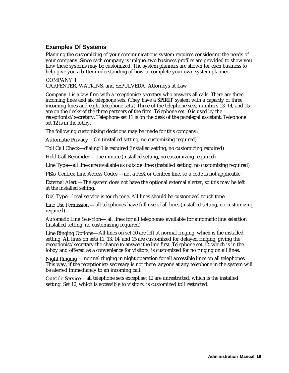# <span id="page-19-1"></span><span id="page-19-0"></span>**Examples Of Systems**

Planning the customizing of your communications system requires considering the needs of your company. Since each company is unique, two business profiles are provided to show you how these systems may be customized. The system planners are shown for each business to help give you a better understanding of how to complete your own system planner.

COMPANY 1

CARPENTER, WATKINS, and SEPULVEDA, Attorneys at Law

Company 1 is a law firm with a receptionist/secretary who answers all calls. There are three incoming lines and six telephone sets. (They have a **SPIRIT** system with a capacity of three incoming lines and eight telephone sets.) Three of the telephone sets, numbers 13, 14, and 15 are on the desks of the three partners of the firm. Telephone set 10 is used by the receptionist/secretary. Telephone set 11 is on the desk of the paralegal assistant. Telephone set 12 is in the lobby.

The following customizing decisions may be made for this company:

Automatic Privacy—On (installed setting, no customizing required)

Toll Call Check—dialing 1 is required (installed setting, no customizing required)

Held Call Reminder— one minute (installed setting, no customizing required)

Line Type—all lines are available as outside lines (installed setting, no customizing required)

PBX/Centrex Line Access Codes —not a PBX or Centrex line, so a code is not applicable

External Alert —The system does not have the optional external alerter, so this may be left at the installed setting.

Dial Type—local service is touch tone. All lines should be customized touch tone.

Line Use Permission — all telephones have full use of all lines (installed setting, no customizing required)

Automatic Line Selection— all lines for all telephones available for automatic line selection (installed setting, no customizing required)

Line Ringing Options—All lines on set 10 are left at normal ringing, which is the installed setting. All lines on sets 11, 13, 14, and 15 are customized for delayed ringing, giving the receptionist/secretary the chance to answer the line first. Telephone set 12, which is in the lobby and offered as a convenience for visitors, is customized for no ringing on all lines.

Night Ringing— normal ringing in night operation for all accessible lines on all telephones. This way, if the receptionist/secretary is not there, anyone at any telephone in the system will be alerted immediately to an incoming call.

Outside Service— all telephone sets except set 12 are unrestricted, which is the installed setting. Set 12, which is accessible to visitors, is customized toll restricted.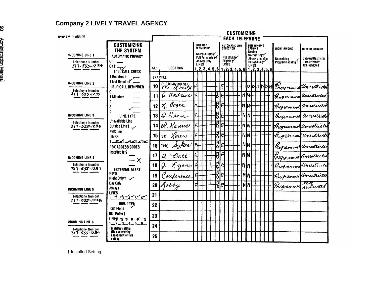# **Company 2 LIVELY TRAVEL AGENCY**

<span id="page-20-2"></span><span id="page-20-1"></span><span id="page-20-0"></span>

| <b>SYSTEM PLANNER</b>                                            |                                                                         | <b>CUSTOMIZING</b><br><b>EACH TELEPHONE</b> |                                   |   |                                                            |  |        |            |                                                                                                 |  |                 |                           |              |                                                   |                                  |                                                                       |
|------------------------------------------------------------------|-------------------------------------------------------------------------|---------------------------------------------|-----------------------------------|---|------------------------------------------------------------|--|--------|------------|-------------------------------------------------------------------------------------------------|--|-----------------|---------------------------|--------------|---------------------------------------------------|----------------------------------|-----------------------------------------------------------------------|
|                                                                  | <b>CUSTOMIZING</b><br>THE SYSTEM                                        |                                             |                                   |   | LINE USE<br>PERMISSION                                     |  |        |            | <b>AUTOMATIC LINE</b><br>SELECTION                                                              |  |                 | <b>OPTIONS</b><br>No rina | LINE RINGING |                                                   | NIGHT RINGING                    | <b>OUTSIDE SERVICE</b>                                                |
| <b>INCOMING LINE 1</b><br>Telephone Number<br>$317 - 555 - 1234$ | <b>AUTOMATIC PRIVACY</b><br>$0ff$ $\qquad$<br>$0n + -$                  | SET                                         | LOCATION                          |   | No Permission<br>Full Permission f<br>Answer Only<br>LINES |  |        |            | Not Eligible<br>Eligible Y<br>LINES<br>$1, 2, 3, 4, 5, 6$ $1, 2, 3, 4, 5, 6$ $1, 2, 3, 4, 5, 6$ |  |                 | <b>LINES</b>              |              | Normal ring Y<br>Abbreviated ring<br>Delayed ring | Normal ring<br>Programmed ring F | <b>Oulward Restricted</b><br>Unrestricted t<br><b>Toll restricted</b> |
| <b>INCOMING LINE 2</b>                                           | TOLL CALL CHECK<br>1 Required t<br>1 Not Required<br>HELD CALL REMINDER | 10                                          | <b>EXAMPLE</b><br>CUSTOMIZING.SET |   |                                                            |  |        | E          |                                                                                                 |  |                 |                           |              | didididini                                        |                                  | Programmed Unrectrictal                                               |
| <b>Telephone Number</b><br>317-555-1235                          | U<br>1 Minute t                                                         | 11                                          | $\varrho$ . Andrews               |   |                                                            |  |        | E          |                                                                                                 |  | lиlи.           |                           |              |                                                   | Rogiannia                        | Unrestricted                                                          |
|                                                                  | 3                                                                       | 12                                          | J. Cogee                          |   |                                                            |  | Ņ<br>ъ | E          |                                                                                                 |  | <b>NI</b> N     |                           |              |                                                   | Programmel                       | Unestricted                                                           |
| <b>INCOMING LINE 3</b>                                           | LINE TYPE                                                               | 13                                          | Q. Kren                           |   |                                                            |  |        | E          |                                                                                                 |  | ININ'           |                           |              |                                                   |                                  | Programmed Unrestrictor                                               |
| <b>Telephone Number</b><br>317-555-1236                          | Unavallable Line<br>Outside Linet<br>PBX line                           |                                             | $14\,$ H $\,$ Karnes              |   |                                                            |  | К<br>τ | E          |                                                                                                 |  | ln n            |                           |              |                                                   |                                  | thogrammen Unrestricto                                                |
|                                                                  | <b>LINES</b>                                                            | 15                                          | m Raien                           |   |                                                            |  | IN     | E          |                                                                                                 |  | ININ            |                           |              |                                                   |                                  | tregrammen Unrestricte                                                |
|                                                                  | $1 - 2 - 3 - 4 - 5 - 6$<br>PBX ACCESS CODES                             | 16                                          | M. Sykes                          |   |                                                            |  | O      | E          |                                                                                                 |  | NM              |                           |              |                                                   |                                  | Trogrammed Unrestricted                                               |
| <b>INCOMING LINE 4</b>                                           | Installed Is 9<br>$-X$                                                  | 17                                          | a. Ball                           |   |                                                            |  | N<br>O | $\epsilon$ |                                                                                                 |  | <b>INM</b>      |                           |              |                                                   |                                  | Tregrammed Unrestricted                                               |
| <b>Telephone Number</b><br>$317 - 555 - 1237$                    | <b>EXTERNAL ALERT</b>                                                   | 18                                          | Lyons<br>J.                       |   |                                                            |  | Ņ<br>ο | ę          |                                                                                                 |  | <b>NIN</b>      |                           |              |                                                   |                                  | Programmo Unrestricto                                                 |
|                                                                  | Never<br>Night Only t ~                                                 | 19                                          | Conference                        | F |                                                            |  | N<br>0 | É          |                                                                                                 |  | MM              |                           |              |                                                   |                                  | Programmed Unrestricted                                               |
| <b>INCOMING LINE 5</b>                                           | Day Only<br>Always                                                      | 20 <sup>1</sup>                             | Lobby                             |   |                                                            |  | N      | Ę          |                                                                                                 |  | NM <sup>1</sup> |                           |              |                                                   | Gnogramme                        | restricted                                                            |
| <b>Telephone Number</b><br>317-555-1238                          | LINES<br>$2 - 3 - 4 - 5 - 6$                                            | 21                                          |                                   |   |                                                            |  |        |            |                                                                                                 |  |                 |                           |              |                                                   |                                  |                                                                       |
|                                                                  | DIAL TYPE<br>Touch-tone                                                 | 22                                          |                                   |   |                                                            |  |        |            |                                                                                                 |  |                 |                           |              |                                                   |                                  |                                                                       |
|                                                                  | Dial Pulse t<br>LINFO TT TT TT TT                                       | 23                                          |                                   |   |                                                            |  |        |            |                                                                                                 |  |                 |                           |              |                                                   |                                  |                                                                       |
| <b>INCOMING LINE 6</b><br><b>Telephone Number</b>                | $1 - 2 - 3 - 4 - 5 - 6 -$<br>t installed setting                        | 24                                          |                                   |   |                                                            |  |        |            |                                                                                                 |  |                 |                           |              |                                                   |                                  |                                                                       |
| 317-555-1239                                                     | (No customizing<br>necessary for this<br>satting)                       | 25                                          |                                   |   |                                                            |  |        |            |                                                                                                 |  |                 |                           |              |                                                   |                                  |                                                                       |

† Installed Setting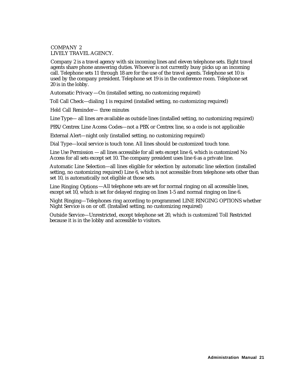#### <span id="page-21-2"></span><span id="page-21-1"></span><span id="page-21-0"></span>COMPANY 2 LIVELY TRAVEL AGENCY.

Company 2 is a travel agency with six incoming lines and eleven telephone sets. Eight travel agents share phone answering duties. Whoever is not currently busy picks up an incoming call. Telephone sets 11 through 18 are for the use of the travel agents. Telephone set 10 is used by the company president. Telephone set 19 is in the conference room. Telephone set 20 is in the lobby.

Automatic Privacy—On (installed setting, no customizing required)

Toll Call Check—dialing 1 is required (installed setting, no customizing required)

Held Call Reminder— three minutes

Line Type— all lines are available as outside lines (installed setting, no customizing required)

PBX/Centrex Line Access Codes—not a PBX or Centrex line, so a code is not applicable

External Alert—night only (installed setting, no customizing required)

Dial Type—local service is touch tone. All lines should be customized touch tone.

Line Use Permission — all lines accessible for all sets except line 6, which is customized No Access for all sets except set 10. The company president uses line 6 as a private line.

Automatic Line Selection—all lines eligible for selection by automatic line selection (installed setting, no customizing required) Line 6, which is not accessible from telephone sets other than set 10, is automatically not eligible at those sets.

Line Ringing Options —All telephone sets are set for normal ringing on all accessible lines, except set 10, which is set for delayed ringing on lines 1-5 and normal ringing on line 6.

Night Ringing—Telephones ring according to programmed LINE RINGING OPTIONS whether Night Service is on or off. (Installed setting, no customizing required)

Outside Service—Unrestricted, except telephone set 20, which is customized Toll Restricted because it is in the lobby and accessible to visitors.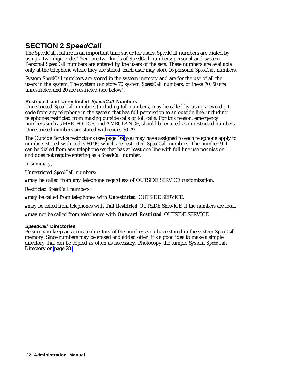# <span id="page-22-4"></span><span id="page-22-3"></span><span id="page-22-2"></span><span id="page-22-1"></span><span id="page-22-0"></span>**SECTION 2 SpeedCall**

The *SpeedCall* feature is an important time saver for users. *SpeedCall* numbers are dialed by using a two-digit code. There are two kinds of *SpeedCall* numbers: personal and system. Personal *SpeedCall* numbers are entered by the users of the sets. These numbers are available only at the telephone where they are stored. Each user may store 16 personal *SpeedCall* numbers.

System *SpeedCall* numbers are stored in the system memory and are for the use of all the users in the system. The system can store 70 system *SpeedCall* numbers; of these 70, 50 are unrestricted and 20 are restricted (see below).

### **Restricted and Unrestricted SpeedCall Numbers**

Unrestricted *SpeedCall* numbers (including toll numbers) may be called by using a two-digit code from any telephone in the system that has full permission to an outside line, including telephones restricted from making outside calls or toll calls. For this reason, emergency numbers such as FIRE, POLICE, and AMBULANCE, should be entered as unrestricted numbers. Unrestricted numbers are stored with codes 30-79.

The Outside Service restrictions (see [page 16\)](#page-16-0) you may have assigned to each telephone apply to numbers stored with codes 80-99, which are restricted *SpeedCall* numbers. The number 911 can be dialed from any telephone set that has at least one line with full line use permission and does not require entering as a *SpeedCall* number.

In summary,

Unrestricted *SpeedCall* numbers:

● may be called from any telephone regardless of OUTSIDE SERVICE customization.

Restricted *SpeedCall* numbers:

● may be called from telephones with **Unrestricted** OUTSIDE SERVICE.

● may be called from telephones with **Toll Restricted** OUTSIDE SERVICE, if the numbers are local.

● may not be called from telephones with **Outward Restricted** OUTSIDE SERVICE.

#### **SpeedCall Directories**

Be sure you keep an accurate directory of the numbers you have stored in the system *SpeedCall* memory. Since numbers may be erased and added often, it's a good idea to make a simple directory that can be copied as often as necessary. Photocopy the sample System *SpeedCall* Directory on [page 28.](#page-28-1)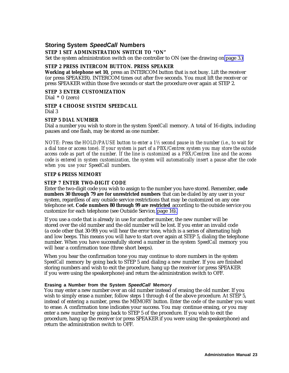# <span id="page-23-2"></span><span id="page-23-1"></span><span id="page-23-0"></span>**Storing System SpeedCall Numbers**

#### **STEP 1 SET ADMINISTRATION SWITCH TO "ON"**

Set the system administration switch on the controller to ON (see the drawing on [page 3.\)](#page-3-2)

#### **STEP 2 PRESS INTERCOM BUTTON. PRESS SPEAKER**

**Working at telephone set 10,** press an INTERCOM button that is not busy. Lift the receiver (or press SPEAKER). INTERCOM times out after five seconds. You must lift the receiver or press SPEAKER within those five seconds or start the procedure over again at STEP 2.

#### **STEP 3 ENTER CUSTOMIZATION**

Dial  $*$  0 (zero)

#### **STEP 4 CHOOSE SYSTEM SPEEDCALL** Dial 3

#### **STEP 5 DIAL NUMBER**

Dial a number you wish to store in the system *SpeedCall* memory. A total of 16 digits, including pauses and one flash, may be stored as one number.

*NOTE: Press the HOLD/PAUSE button to enter a 1½ second pause in the number (i.e., to wait for a dial tone or access tone). If your system is part of a PBX/Centrex system you may store the outside access code as part of the number. If the line is customized as a PBX/Centrex line and the access code is entered in system customization, the system will automatically insert a pause after the code when you use your SpeedCall numbers.*

#### **STEP 6 PRESS MEMORY**

#### **STEP 7 ENTER TWO-DIGIT CODE**

Enter the two-digit code you wish to assign to the number you have stored. Remember, **code numbers 30 through 79 are for unrestricted numbers** that can be dialed by any user in your system, regardless of any outside service restrictions that may be customized on any one telephone set. **Code numbers 80 through 99 are restricted** according to the outside service you customize for each telephone (see Outside Service, [page 16\).](#page-16-0)

If you use a code that is already in use for another number, the new number will be stored over the old number and the old number will be lost. If you enter an invalid code (a code other that 30-99) you will hear the error tone, which is a series of alternating high and low beeps. This means you will have to start over again at STEP 5, dialing the telephone number. When you have successfully stored a number in the system *SpeedCall* memory you will hear a confirmation tone (three short beeps).

When you hear the confirmation tone you may continue to store numbers in the system *SpeedCall* memory by going back to STEP 5 and dialing a new number. If you are finished storing numbers and wish to exit the procedure, hang up the receiver (or press SPEAKER if you were using the speakerphone) and return the administration switch to OFF.

#### **Erasing a Number from the System SpeedCall Memory**

You may enter a new number over an old number instead of erasing the old number. If you wish to simply erase a number, follow steps 1 through 4 of the above procedure. At STEP 5, instead of entering a number, press the MEMORY button. Enter the code of the number you want to erase. A confirmation tone indicates your success. You may continue erasing, or you may enter a new number by going back to STEP 5 of the procedure. If you wish to exit the procedure, hang up the receiver (or press SPEAKER if you were using the speakerphone) and return the administration switch to OFF.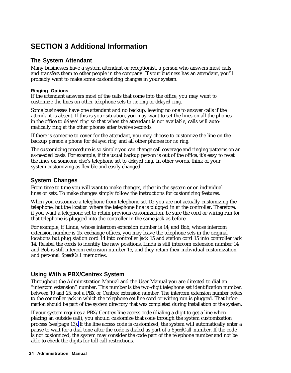# <span id="page-24-6"></span><span id="page-24-5"></span><span id="page-24-4"></span><span id="page-24-3"></span><span id="page-24-0"></span>**SECTION 3 Additional Information**

# <span id="page-24-1"></span>**The System Attendant**

<span id="page-24-2"></span>Many businesses have a system attendant or receptionist, a person who answers most calls and transfers them to other people in the company. If your business has an attendant, you'll probably want to make some customizing changes in your system.

### **Ringing Options**

If the attendant answers most of the calls that come into the office, you may want to customize the lines on other telephone sets to *no ring* or *delayed ring.*

Some businesses have one attendant and no backup, leaving no one to answer calls if the attendant is absent. If this is your situation, you may want to set the lines on all the phones in the office to *delayed ring* so that when the attendant is not available, calls will automatically ring at the other phones after twelve seconds.

If there is someone to cover for the attendant, you may choose to customize the line on the backup person's phone for *delayed ring* and all other phones for *no ring.*

The customizing procedure is so simple you can change call coverage and ringing patterns on an as-needed basis. For example, if the usual backup person is out of the office, it's easy to reset the lines on someone else's telephone set to *delayed ring.* In other words, think of your system customizing as flexible and easily changed.

# **System Changes**

From time to time you will want to make changes, either in the system or on individual lines or sets. To make changes simply follow the instructions for customizing features.

When you customize a telephone from telephone set 10, you are not actually customizing the telephone, but the *location* where the telephone line is plugged in at the controller. Therefore, if you want a telephone set to retain previous customization, be sure the cord or wiring run for that telephone is plugged into the controller in the same jack as before.

For example, if Linda, whose intercom extension number is 14, and Bob, whose intercom extension number is 15, exchange offices, you may leave the telephone sets in the original locations but plug station cord 14 into controller jack 15 and station cord 15 into controller jack 14. Relabel the cords to identify the new positions. Linda is still intercom extension number 14 and Bob is still intercom extension number 15, and they retain their individual customization and personal *SpeedCall* memories.

# **Using With a PBX/Centrex System**

Throughout the Administration Manual and the User Manual you are directed to dial an "intercom extension" number. This number is the two-digit telephone set identification number, between 10 and 25, not a PBX or Centrex extension number. The intercom extension number refers to the controller jack in which the telephone set line cord or wiring run is plugged. That information should be part of the system directory that was completed during installation of the system.

If your system requires a PBX/Centrex line access code (dialing a digit to get a line when placing an outside call), you should customize that code through the system customization process (see [page 13\).](#page-13-0) If the line access code is customized, the system will automatically enter a pause to wait for a dial tone after the code is dialed as part of a *SpeedCall* number. If the code is not customized, the system may consider the code part of the telephone number and not be able to check the digits for toll call restrictions.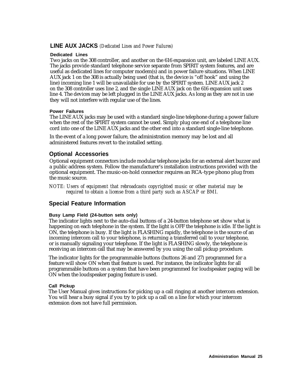### <span id="page-25-3"></span><span id="page-25-2"></span><span id="page-25-0"></span>**LINE AUX JACKS** *(Dedicated Lines and Power Failures)*

#### **Dedicated Lines**

<span id="page-25-1"></span>Two jacks on the 308 controller, and another on the 616 expansion unit, are labeled LINE AUX. The jacks provide standard telephone service separate from SPIRIT system features, and are useful as dedicated lines for computer modem(s) and in power failure situations. When LINE AUX jack 1 on the 308 is actually being used (that is, the device is "off hook" and using the line) incoming line 1 will be unavailable for use by the SPIRIT system. LINE AUX jack 2 on the 308 controller uses line 2, and the single LINE AUX jack on the 616 expansion unit uses line 4. The devices may be left plugged in the LINE AUX jacks. As long as they are not in use they will not interfere with regular use of the lines.

#### **Power Failures**

The LINE AUX jacks may be used with a standard single-line telephone during a power failure when the rest of the SPIRIT system cannot be used. Simply plug one end of a telephone line cord into one of the LINE AUX jacks and the other end into a standard single-line telephone.

In the event of a long power failure, the administration memory may be lost and all administered features revert to the installed setting.

# **Optional Accessories**

Optional equipment connectors include modular telephone jacks for an external alert buzzer and a public address system. Follow the manufacturer's installation instructions provided with the optional equipment. The music-on-hold connector requires an RCA-type phono plug from the music source.

*NOTE: Users of equipment that rebroadcasts copyrighted music or other material may be required to obtain a license from a third party such as ASCAP or BMI.*

# **Special Feature Information**

#### **Busy Lamp Field (24-button sets only)**

The indicator lights next to the auto-dial buttons of a 24-button telephone set show what is happening on each telephone in the system. If the light is OFF the telephone is idle. If the light is ON, the telephone is busy. If the light is FLASHING rapidly, the telephone is the source of an incoming intercom call to your telephone, is returning a transferred call to your telephone, or is manually signaling your telephone. If the light is FLASHING slowly, the telephone is receiving an intercom call that may be answered by you using the call pickup procedure.

The indicator lights for the programmable buttons (buttons 26 and 27) programmed for a feature will show ON when that feature is used. For instance, the indicator lights for all programmable buttons on a system that have been programmed for loudspeaker paging will be ON when the loudspeaker paging feature is used.

#### **Call Pickup**

The User Manual gives instructions for picking up a call ringing at another intercom extension. You will hear a busy signal if you try to pick up a call on a line for which your intercom extension does not have full permission.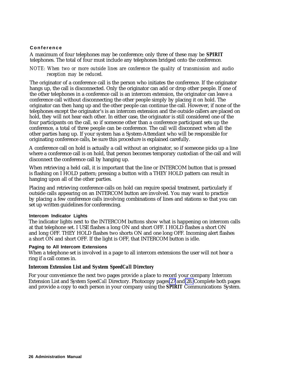#### <span id="page-26-0"></span>**Conference**

A maximum of four telephones may be conference; only three of these may be **SPIRIT** telephones. The total of four must include any telephones bridged onto the conference.

#### *NOTE: When two or more outside lines are conference the quality of transmission and audio reception may be reduced.*

The originator of a conference call is the person who initiates the conference. If the originator hangs up, the call is disconnected. Only the originator can add or drop other people. If one of the other telephones in a conference call is an intercom extension, the originator can leave a conference call without disconnecting the other people simply by placing it on hold. The originator can then hang up and the other people can continue the call. However, if none of the telephones except the originator's is an intercom extension and the outside callers are placed on hold, they will not hear each other. In either case, the originator is still considered one of the four participants on the call, so if someone other than a conference participant sets up the conference, a total of three people can be conference. The call will disconnect when all the other parties hang up. If your system has a System-Attendant who will be responsible for originating conference calls, be sure this procedure is explained carefully.

A conference call on hold is actually a call without an originator, so if someone picks up a line where a conference call is on hold, that person becomes temporary custodian of the call and will disconnect the conference call by hanging up.

When retrieving a held call, it is important that the line or INTERCOM button that is pressed is flashing on I HOLD pattern; pressing a button with a THEY HOLD pattern can result in hanging upon all of the other parties.

Placing and retrieving conference calls on hold can require special treatment, particularly if outside calls appearing on an INTERCOM button are involved. You may want to practice by placing a few conference calls involving combinations of lines and stations so that you can set up written guidelines for conferencing.

#### **Intercom Indicator Lights**

The indicator lights next to the INTERCOM buttons show what is happening on intercom calls at that telephone set. I USE flashes a long ON and short OFF. I HOLD flashes a short ON and long OFF. THEY HOLD flashes two shorts ON and one long OFF. Incoming alert flashes a short ON and short OFF. If the light is OFF, that INTERCOM button is idle.

#### **Paging to All Intercom Extensions**

When a telephone set is involved in a page to all intercom extensions the user will not hear a ring if a call comes in.

#### **Intercom Extension List and System** *SpeedCall* **Directory**

For your convenience the next two pages provide a place to record your company Intercom Extension List and System *SpeedCall* Directory. Photocopy pages [27](#page-27-0) and [28.](#page-28-2) Complete both pages and provide a copy to each person in your company using the **SPIRIT** Communications System.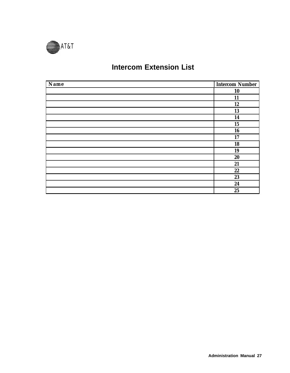<span id="page-27-0"></span>

# **Intercom Extension List**

| Name | <b>Intercom Number</b> |
|------|------------------------|
|      | 10                     |
|      | 11                     |
|      | 12                     |
|      | 13                     |
|      | 14                     |
|      | 15                     |
|      | 16                     |
|      | 17                     |
|      | 18                     |
|      | 19                     |
|      | 20                     |
|      | 21                     |
|      | 22                     |
|      | 23                     |
|      | 24                     |
|      | 25                     |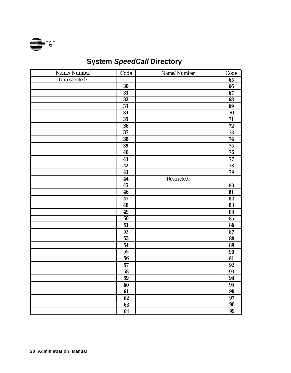<span id="page-28-2"></span><span id="page-28-1"></span><span id="page-28-0"></span>

# **System SpeedCall Directory**

| Name/Number   | Code            | Name/Number | Code            |
|---------------|-----------------|-------------|-----------------|
| Unrestricted: |                 |             | 65              |
|               | 30              |             | 66              |
|               | 31              |             | 67              |
|               | $32\phantom{a}$ |             | 68              |
|               | 33              |             | 69              |
|               | 34              |             | 70              |
|               | 35              |             | $\overline{71}$ |
|               | 36              |             | ${\bf 72}$      |
|               | 37              |             | 73              |
|               | 38              |             | 74              |
|               | 39              |             | ${\bf 75}$      |
|               | 40              |             | 76              |
|               | 41              |             | ${\bf 77}$      |
|               | 42              |             | 78              |
|               | 43              |             | 79              |
|               | 44              | Restricted: |                 |
|               | 45              |             | 80              |
|               | 46              |             | 81              |
|               | 47              |             | 82              |
|               | 48              |             | 83              |
|               | 49              |             | 84              |
|               | ${\bf 50}$      |             | 85              |
|               | 51              |             | 86              |
|               | 52              |             | 87              |
|               | 53              |             | 88              |
|               | 54              |             | 89              |
|               | 55              |             | 90              |
|               | 56              |             | 91              |
|               | 57              |             | 92              |
|               | 58              |             | 93              |
|               | ${\bf 59}$      |             | 94              |
|               | 60              |             | $\overline{95}$ |
|               | 61              |             | 96              |
|               | 62              |             | 97              |
|               | 63              |             | 98              |
|               | 64              |             | 99              |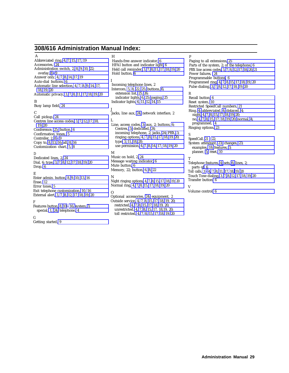### **308/616 Administration Manual Index:**

A

<span id="page-29-0"></span>Abbreviated ring, [4,](#page-4-5) [7,](#page-7-2) [15,](#page-15-1) [17,](#page-17-3) [19](#page-19-1) Accessories, [24](#page-24-5) Administration switch, 2, [8,](#page-8-2) [9,](#page-9-4) [10,](#page-10-4) [22;](#page-22-3) overlay, [8 -](#page-8-2) [9](#page-9-1) Answer only, [4,](#page-4-4) [7,](#page-7-1) [8,](#page-8-2) [14,](#page-14-1) [17,](#page-17-2) [19](#page-19-1) Auto-dial buttons, [6](#page-6-2) Automatic line selection, [4,](#page-4-4) [7,](#page-7-1) [8,](#page-8-2) [9,](#page-9-4) [14,](#page-14-1) [17,](#page-17-2) [18,](#page-18-1) [19,](#page-19-1) [20](#page-20-0) Automatic privacy, [3,](#page-3-3) [7,](#page-7-1) [8,](#page-8-2) [11,](#page-11-1) [17,](#page-17-2) [18,](#page-18-1) [19,](#page-19-1) [20](#page-20-0) B Busy lamp field[, 24](#page-24-5) C Call pickup, [24](#page-24-5) Centrex line access codes, [3,](#page-3-3) [7,](#page-7-1) [12,](#page-12-1) [17,](#page-17-2) [18,](#page-18-1) [19,](#page-19-1) [20](#page-20-0) Conference, [25;](#page-25-2) button, [6](#page-6-2) Confirmation tones, [5](#page-5-1) Controller, 2, [8](#page-8-2) - [9](#page-9-5) Copy to, [8,](#page-8-2) [13,](#page-13-1) [16;](#page-16-2) all, [8,](#page-8-2) [16](#page-16-1) Customization chart, [5,](#page-5-1) [8](#page-8-2) D Dedicated lines, 2, [24](#page-24-5) Dial, [6; type,](#page-6-2) [3,](#page-3-3) [7,](#page-7-1) [8,](#page-8-2) [12,](#page-12-1) [17,](#page-17-2) [18,](#page-18-1) [19,](#page-19-1) [20](#page-20-0) Drop, 6 E Enter admin. button, [8,](#page-8-2) [9,](#page-9-4) [10,](#page-10-4) [13,](#page-13-1) [16](#page-16-1) Erase, [12](#page-12-1) Error tones, [5](#page-5-1) Exit telephone customization, [10,](#page-10-4) [16](#page-16-1) External alert, [3,](#page-3-3) [7,](#page-7-1) [8,](#page-8-2) [12,](#page-12-1) [17,](#page-17-2) [18,](#page-18-1) [19,](#page-19-1) [20](#page-20-0) F Features button, [8,](#page-8-2) [10](#page-10-4) - [16; s](#page-16-2)ystem, [3;](#page-3-4) special, [1,](#page-2-1) [24;](#page-24-6) telephone, [4](#page-4-4) G Getting started, [9](#page-9-4)

H Hands-free answer indicator, [6](#page-6-2) HFAI button and indicator light, [6](#page-6-2) Held call reminder, [3,](#page-3-3) [7,](#page-7-1) [8,](#page-8-2) [11,](#page-11-1) [17,](#page-17-2) [18,](#page-18-1) [19,](#page-19-1) [20](#page-20-0) Hold button, [6](#page-6-2)

Incoming telephone lines, 2 Intercom, [5,](#page-5-1) [8,](#page-8-2) [22,](#page-22-4) [25;](#page-25-2) buttons, [6;](#page-6-3) extension list, [25,](#page-25-3) [26;](#page-26-0) indicator lights, [6,](#page-6-2) [25;](#page-26-0) paging, [25](#page-25-3) Indicator lights[, 6,](#page-6-2) [11,](#page-11-1) [12,](#page-12-1) [14,](#page-14-1) [15](#page-15-0)

#### J

I

Jacks, line aux, [24;](#page-24-6) network interface, 2 L

Line, access codes, [3;](#page-3-4) aux, 2; buttons, [6;](#page-6-3) Centrex, [3;](#page-3-4) dedicated, [24;](#page-24-6) incoming telephone, 2; jacks, [24;](#page-24-6) PBX, [3;](#page-3-4) ringing options, [4,](#page-4-4) [7,](#page-7-1) [8,](#page-8-2) [15,](#page-15-0) [17,](#page-17-2) [18,](#page-18-1) [19,](#page-19-1) [20;](#page-20-2) type[, 3,](#page-3-3) [11,](#page-11-1) [18,](#page-18-1) [20;](#page-20-1) use permission, [4,](#page-4-4) [7,](#page-7-1) [8,](#page-8-2) [14,](#page-14-1) [17,](#page-17-2) [18,](#page-18-1) [19,](#page-19-1) [20](#page-20-0)

## M

Music on hold, 2, [24](#page-24-5) Message waiting indicator, [6](#page-6-2) Mute button, [6](#page-6-2) Memory, 22; button, [6,](#page-6-2) [8,](#page-8-2) [22](#page-22-4)

N

Night ringing options[, 4,](#page-4-4) [7,](#page-7-1) [8,](#page-8-2) [15,](#page-15-0) [17,](#page-17-2) [18,](#page-18-1) [19,](#page-19-1) [20](#page-20-0) Normal ring[, 4,](#page-4-4) [7,](#page-7-1) [8,](#page-8-2) [15,](#page-15-0) [17,](#page-17-2) [18,](#page-18-1) [19,](#page-19-1) [20](#page-20-0)

#### $\Omega$

Optional accessories, [24;](#page-24-6) equipment, 2 Outside service, [4,](#page-4-4) [7,](#page-7-1) [8,](#page-8-2) [15,](#page-15-0) [17,](#page-17-2) [18,](#page-18-1) [19, 20;](#page-19-1) restricted, [4,](#page-4-4) [7,](#page-7-1) [8,](#page-8-2) [15,](#page-15-0) [17,](#page-17-2) [18,](#page-18-1) [19, 20;](#page-19-1) unrestricted, [4,](#page-4-4) [7,](#page-7-1) [8,](#page-8-2) [15,](#page-15-0) [17, 18,19, 20;](#page-17-2) toll restricted, [4,](#page-4-4) [7,](#page-7-1) [8,](#page-8-2) [15,](#page-15-0) [17,](#page-17-2) [18,](#page-18-1) [19,](#page-19-1) [20](#page-20-0)

#### P

Paging to all extensions, [25](#page-25-3) Parts of the system, 2; of the telephone[, 6](#page-6-2) PBX line access codes, [3,](#page-3-3) [7,](#page-7-1) [8,](#page-8-2) [12,](#page-12-1) [17,](#page-17-2) [18,](#page-18-1) [20,](#page-20-0) [21](#page-21-1) Power failures, [24](#page-24-5) Programmable buttons[, 6](#page-6-2) Programmed ring[, 4,](#page-4-4) [7,](#page-7-1) [8,](#page-8-2) [15,](#page-15-0) [17,](#page-17-2) [18,](#page-18-1) [19,](#page-19-1) [20](#page-20-2) Pulse dialing, [3,](#page-3-3) [7,](#page-7-1) [8,](#page-8-2) [12,](#page-12-1) [17,](#page-17-2) [18,](#page-18-1) [19,](#page-19-1) [20](#page-20-0)

#### R

Recall button[, 6](#page-6-2) Reset system, [10](#page-10-4) Restricted SpeedCall numbers, [21](#page-21-2) Ring, [4;](#page-4-5) abbreviated, [4;](#page-4-5) delayed, [4;](#page-4-5) night[, 4,](#page-4-4) [7,](#page-7-1) [8,](#page-8-2) [15,](#page-15-0) [17,](#page-17-2) [18,](#page-18-1) [19,](#page-19-1) [20;](#page-20-2) no, [4,](#page-4-4) [7,](#page-7-1) [8,](#page-8-2) [15,](#page-15-0) [17,](#page-17-2) [18,](#page-18-1) [19,](#page-19-1) [20;](#page-20-2) [normal,](#page-4-4) [4;](#page-4-5) programmed, 4 Ringing options, [23](#page-23-1)

#### S

SpeedCall, [21 -](#page-21-1) [22;](#page-22-3) System attendant, [23;](#page-23-2) changes, [23;](#page-23-2) examples, [18;](#page-18-0) features, [3;](#page-3-4) planner, [5;](#page-5-2) reset, [10](#page-10-4)

#### T

Telephon[e features,](#page-6-2) [4;](#page-4-3) [sets,](#page-6-2) [6;](#page-6-4) [lines, 2;](#page-6-2) parts of, 6 Toll calls, [3 -](#page-3-3) [4,](#page-4-5) [7,](#page-7-1) [8,](#page-8-2) [11,](#page-11-1) [17,](#page-17-2) [18,](#page-18-1) [19,](#page-19-1) [20](#page-20-0) Touch Tone dialing, [3,](#page-3-3) [7,](#page-7-1) [8,](#page-8-2) [12,](#page-12-1) [17,](#page-17-2) [18,](#page-18-1) [19,](#page-19-1) [20](#page-20-2) Transfer button[, 6](#page-6-2)

#### $\overline{V}$ Volume control[, 6](#page-6-2)

**Administration Manual 29**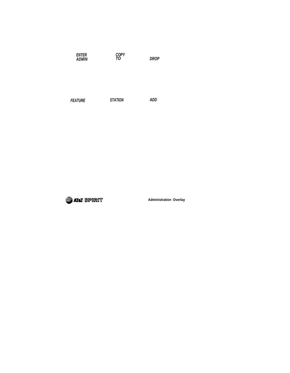| <b>ENTER</b><br><b>ADMIN</b> | COPY<br>TO     | <b>DROP</b> |
|------------------------------|----------------|-------------|
| <b>FEATURE</b>               | <b>STATION</b> | ADD         |



**Administration Overlay**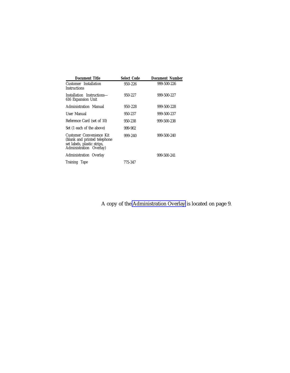| <b>Document Title</b>                                                                                               | <b>Select Code</b> | Document Number |
|---------------------------------------------------------------------------------------------------------------------|--------------------|-----------------|
| Customer Installation<br>Instructions                                                                               | 950-226            | 999-500-226     |
| Installation Instructions—<br>616 Expansion Unit                                                                    | 950-227            | 999-500-227     |
| Administration Manual                                                                                               | 950-228            | 999-500-228     |
| User Manual                                                                                                         | 950-237            | 999-500-237     |
| Reference Card (set of 10)                                                                                          | 950-238            | 999-500-238     |
| Set (1 each of the above)                                                                                           | 999-902            |                 |
| Customer Convenience Kit<br>(blank and printed telephone)<br>set labels, plastic strips,<br>Administration Overlay) | 999-240            | 999-500-240     |
| Administration Overlay                                                                                              |                    | 999-500-241     |
| Training Tape                                                                                                       | 775-347            |                 |

A copy of the [Administration Overlay](#page-9-6) is located on page 9.